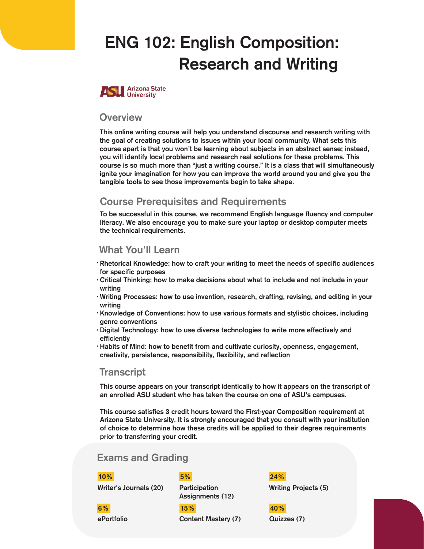# ENG 102: English Composition: Research and Writing



## **Overview**

This online writing course will help you understand discourse and research writing with the goal of creating solutions to issues within your local community. What sets this course apart is that you won't be learning about subjects in an abstract sense; instead, you will identify local problems and research real solutions for these problems. This course is so much more than "just a writing course." It is a class that will simultaneously ignite your imagination for how you can improve the world around you and give you the tangible tools to see those improvements begin to take shape.

## Course Prerequisites and Requirements

To be successful in this course, we recommend English language fluency and computer literacy. We also encourage you to make sure your laptop or desktop computer meets the technical requirements.

## What You'll Learn

- $\cdot$  Rhetorical Knowledge: how to craft your writing to meet the needs of specific audiences for specific purposes
- $\cdot$  Critical Thinking: how to make decisions about what to include and not include in your writing
- Writing Processes: how to use invention, research, drafting, revising, and editing in your writing
- · Knowledge of Conventions: how to use various formats and stylistic choices, including genre conventions
- $\cdot$  Digital Technology: how to use diverse technologies to write more effectively and efficiently
- Habits of Mind: how to benefit from and cultivate curiosity, openness, engagement, creativity, persistence, responsibility, flexibility, and reflection

## **Transcript**

This course appears on your transcript identically to how it appears on the transcript of an enrolled ASU student who has taken the course on one of ASU's campuses.

This course satisfies 3 credit hours toward the First-year Composition requirement at Arizona State University. It is strongly encouraged that you consult with your institution of choice to determine how these credits will be applied to their degree requirements prior to transferring your credit.

## Exams and Grading

#### 10% 5%

Writer's Journals (20) Participation

Assignments (12)

ePortfolio Content Mastery (7) 6% 15%

Writing Projects (5) 24%

Quizzes (7) 40%